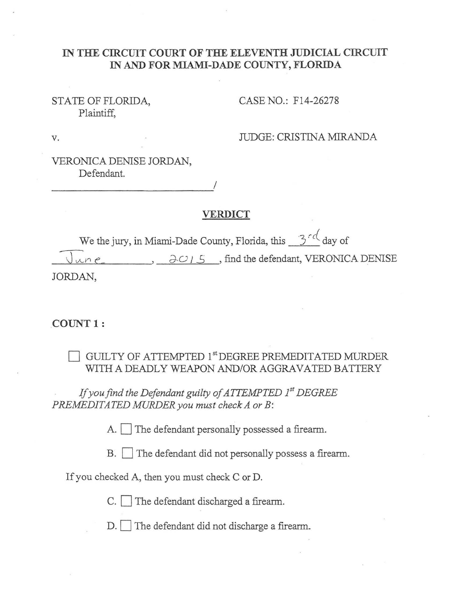#### IN THE CIRCUIT COURT OF THE ELEVENTH JUDICIAL CIRCUIT IN **AND FOR MIAMI-DADE COUNTY, FLORIDA**

## STATE OF FLORIDA, Plaintiff,

CASE NO.: F14-26278

v. JUDGE: CRISTINA MIRANDA

VERONICA DENISE JORDAN, Defendant.

----------------------~/

# **VERDICT**

We the jury, in Miami-Dade County, Florida, this 3<sup>-c</sup> day of  $\partial$  .  $\partial$   $\partial$  /  $\partial$  . find the defendant, VERONICA DENISE JORDAN,

#### **COUNT 1:**

GUILTY OF ATTEMPTED 1<sup>st</sup> DEGREE PREMEDITATED MURDER WITH A DEADLY WEAPON AND/OR AGGRAVATED BATTERY

If you find the Defendant guilty of ATTEMPTED 1<sup>st</sup> DEGREE *PREMEDITATED MURDER you must check A orB:* 

A.  $\Box$  The defendant personally possessed a firearm.

B. The defendant did not personally possess a firearm.

If you checked A, then you must check C or D.

C. The defendant discharged a firearm.

D. The defendant did not discharge a firearm.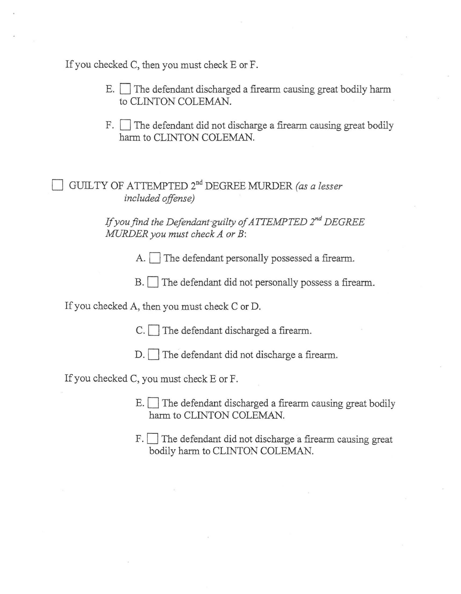If you checked C, then you must check E or F.

- $E.$  The defendant discharged a firearm causing great bodily harm to CLINTON COLEMAN.
- $F.$  The defendant did not discharge a firearm causing great bodily harm to CLINTON COLEMAN.

GUILTY OF ATTEMPTED 2<sup>nd</sup> DEGREE MURDER *(as a lesser included offense)* 

> If you find the Defendant-guilty of ATTEMPTED 2<sup>nd</sup> DEGREE *MURDER you must check A orB:*

> > A. The defendant personally possessed a firearm.

B. The defendant did not personally possess a firearm.

If you checked A, then you must check C or D.

 $C.$  The defendant discharged a firearm.

D. The defendant did not discharge a firearm.

If you checked C, you must check E or F.

- $E.$  The defendant discharged a firearm causing great bodily harm to CLINTON COLEMAN.
- F. The defendant did not discharge a firearm causing great bodily harm to CLINTON COLEMAN.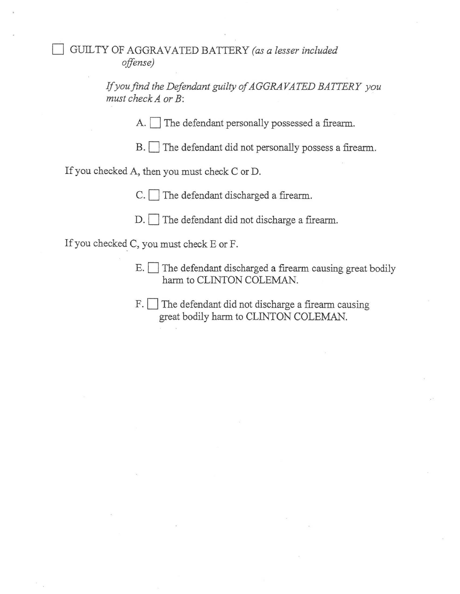# 0 GUILTY OF AGGRAVATED BATTERY *(as a lesser included offense)*

If *you find the Defendant guilty of AGGRAVATED BATTERY you*  must check A or B:

A. The defendant personally possessed a firearm.

B. The defendant did not personally possess a firearm.

If you checked A, then you must check C or D.

 $C.$  The defendant discharged a firearm.

 $D.$  The defendant did not discharge a firearm.

If you checked C, you must check E or F.

- $E.$  The defendant discharged a firearm causing great bodily harm to CLINTON COLEMAN.
- F. The defendant did not discharge a firearm causing great bodily harm to CLINTON COLEMAN.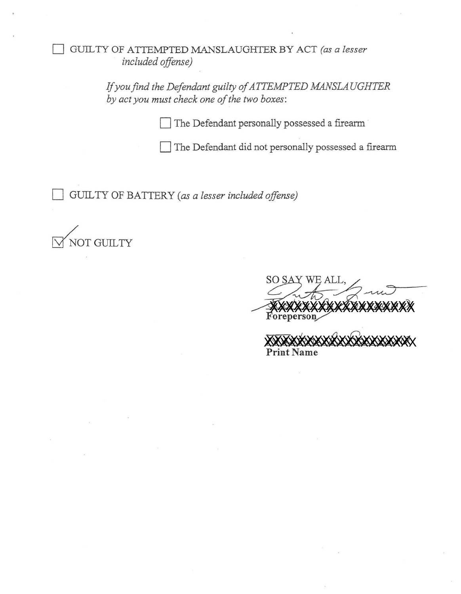0 GUlL TY OF A TrE1\.1PTED MANSLAUGHTER BY ACT *(as a lesser included offense)* 

> If you find the Defendant guilty of ATTEMPTED MANSLAUGHTER *by act you must check one of the two boxes:*

> > The Defendant personally possessed a firearm

The Defendant did not personally possessed a firearm

GUILTY OF BATTERY (as a lesser included offense)

~OTGUILTY

'L  $L$ *xxxxxxx* L, aut *rZ-C1!.* ~'"~ *0*  **Foreperson**  $\overline{\phantom{a}}$ **Print Name**  XXXXXXXXXXXXXXXXXXXX<br>Foreperson<br>XXXXXXXXXXXXXXXXXXXXXX